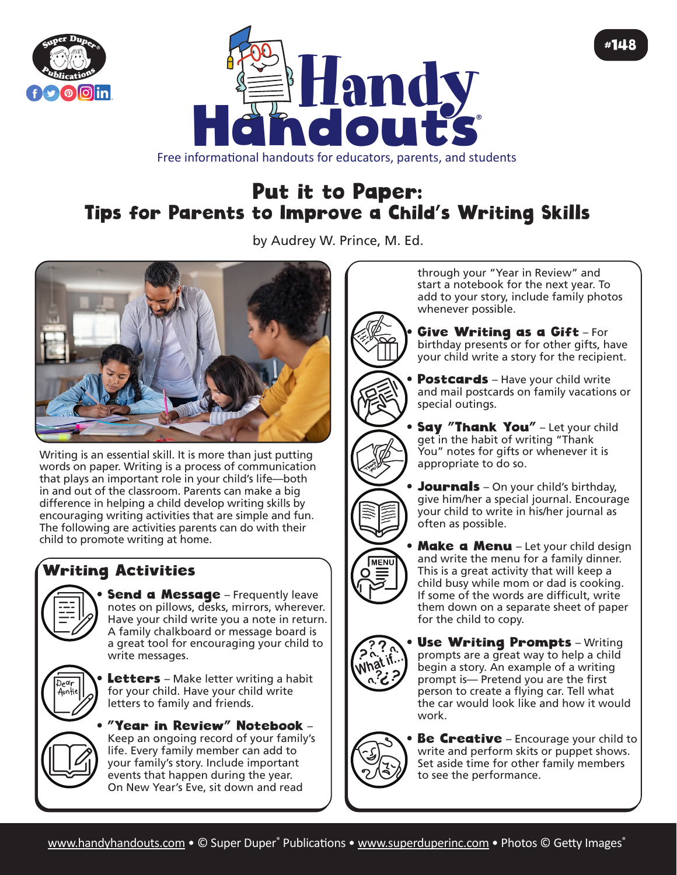



# Put it to Paper:

## Tips for Parents to Improve a Child's Writing Skills

by Audrey W. Prince, M. Ed.



Writing is an essential skill. It is more than just putting words on paper. Writing is a process of communication that plays an important role in your child's life—both in and out of the classroom. Parents can make a big difference in helping a child develop writing skills by encouraging writing activities that are simple and fun. The following are activities parents can do with their child to promote writing at home.

## Writing Activities



**Send a Message** - Frequently leave notes on pillows, desks, mirrors, wherever. Have your child write you a note in return. A family chalkboard or message board is a great tool for encouraging your child to write messages.



**Letters** – Make letter writing a habit for your child. Have your child write letters to family and friends.

• "Year in Review" Notebook – Keep an ongoing record of your family's life. Every family member can add to your family's story. Include important events that happen during the year. On New Year's Eve, sit down and read

through your "Year in Review" and start a notebook for the next year. To add to your story, include family photos whenever possible.

#148

Give Writing as a Gift-For birthday presents or for other gifts, have your child write a story for the recipient.

- **Postcards** Have your child write and mail postcards on family vacations or special outings.
- **Say "Thank You"** Let your child get in the habit of writing "Thank You" notes for gifts or whenever it is appropriate to do so.
- Journals On your child's birthday, give him/her a special journal. Encourage your child to write in his/her journal as often as possible.
- Make a Menu Let your child design and write the menu for a family dinner. This is a great activity that will keep a child busy while mom or dad is cooking. If some of the words are difficult, write them down on a separate sheet of paper for the child to copy.



MENI

**Use Writing Prompts - Writing** prompts are a great way to help a child begin a story. An example of a writing prompt is— Pretend you are the first person to create a flying car. Tell what the car would look like and how it would work.



**Be Creative** – Encourage your child to write and perform skits or puppet shows. Set aside time for other family members to see the performance.